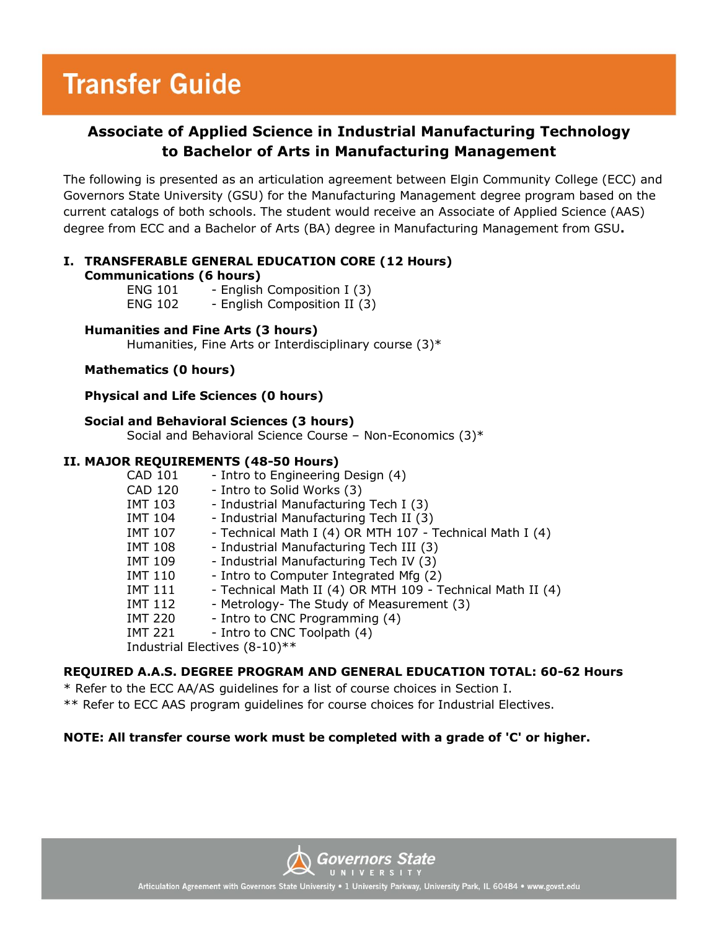## **Transfer Guide**

### **Associate of Applied Science in Industrial Manufacturing Technology to Bachelor of Arts in Manufacturing Management**

The following is presented as an articulation agreement between Elgin Community College (ECC) and Governors State University (GSU) for the Manufacturing Management degree program based on the current catalogs of both schools. The student would receive an Associate of Applied Science (AAS) degree from ECC and a Bachelor of Arts (BA) degree in Manufacturing Management from GSU**.**

#### **I. TRANSFERABLE GENERAL EDUCATION CORE (12 Hours) Communications (6 hours)**

| ENG 101        | - English Composition I (3)  |
|----------------|------------------------------|
| <b>ENG 102</b> | - English Composition II (3) |

#### **Humanities and Fine Arts (3 hours)**

Humanities, Fine Arts or Interdisciplinary course (3)\*

#### **Mathematics (0 hours)**

#### **Physical and Life Sciences (0 hours)**

#### **Social and Behavioral Sciences (3 hours)**

Social and Behavioral Science Course – Non-Economics (3)\*

#### **II. MAJOR REQUIREMENTS (48-50 Hours)**

| <b>CAD 101</b>                | - Intro to Engineering Design (4)                          |  |
|-------------------------------|------------------------------------------------------------|--|
| CAD 120                       | - Intro to Solid Works (3)                                 |  |
| <b>IMT 103</b>                | - Industrial Manufacturing Tech I (3)                      |  |
| IMT 104                       | - Industrial Manufacturing Tech II (3)                     |  |
| IMT 107                       | - Technical Math I (4) OR MTH 107 - Technical Math I (4)   |  |
| IMT 108                       | - Industrial Manufacturing Tech III (3)                    |  |
| <b>IMT 109</b>                | - Industrial Manufacturing Tech IV (3)                     |  |
| <b>IMT 110</b>                | - Intro to Computer Integrated Mfg (2)                     |  |
| <b>IMT 111</b>                | - Technical Math II (4) OR MTH 109 - Technical Math II (4) |  |
| <b>IMT 112</b>                | - Metrology- The Study of Measurement (3)                  |  |
| <b>IMT 220</b>                | - Intro to CNC Programming (4)                             |  |
| <b>IMT 221</b>                | - Intro to CNC Toolpath (4)                                |  |
| Industrial Electives (8-10)** |                                                            |  |

#### **REQUIRED A.A.S. DEGREE PROGRAM AND GENERAL EDUCATION TOTAL: 60-62 Hours**

\* Refer to the ECC AA/AS guidelines for a list of course choices in Section I.

\*\* Refer to ECC AAS program guidelines for course choices for Industrial Electives.

#### **NOTE: All transfer course work must be completed with a grade of 'C' or higher.**



Articulation Agreement with Governors State University • 1 University Parkway, University Park, IL 60484 • www.govst.edu